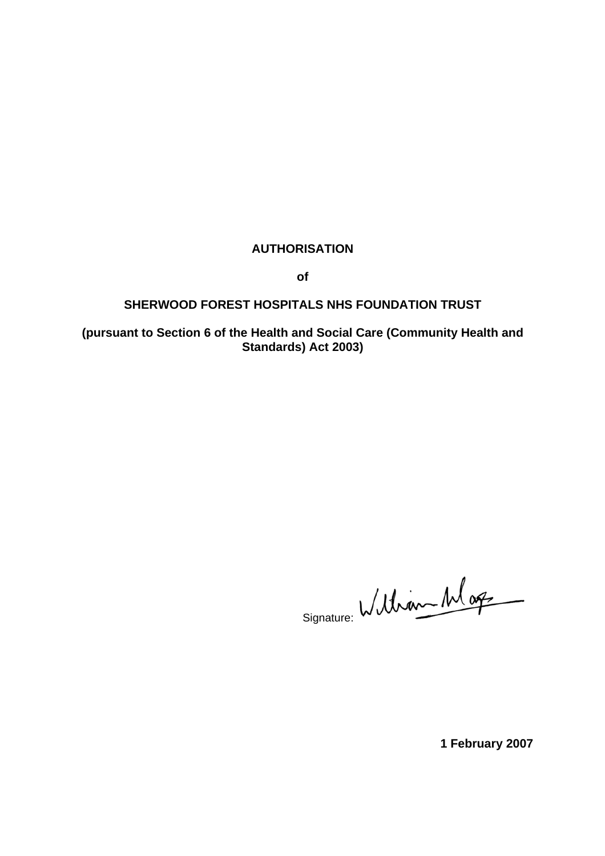## **AUTHORISATION**

**of** 

### **SHERWOOD FOREST HOSPITALS NHS FOUNDATION TRUST**

**(pursuant to Section 6 of the Health and Social Care (Community Health and Standards) Act 2003)** 

Signature: William Mag

**1 February 2007**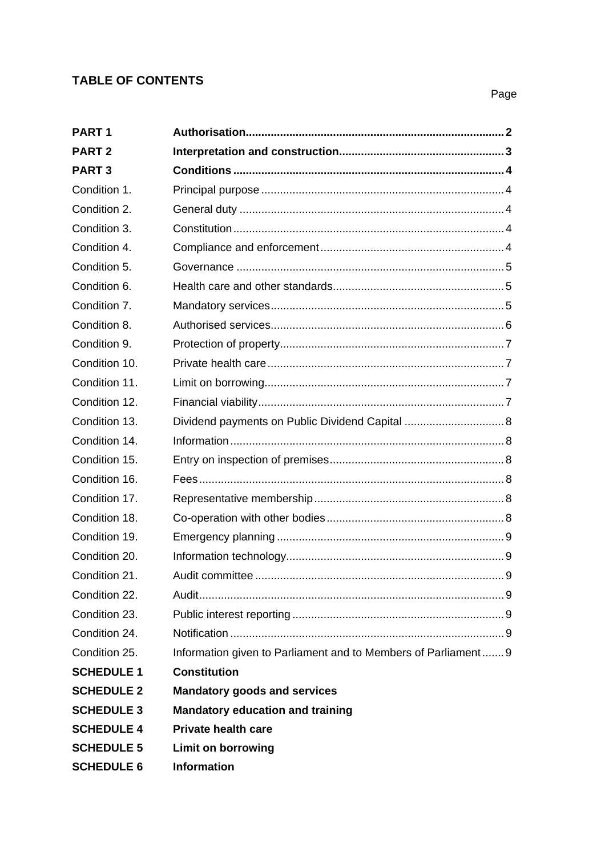# **TABLE OF CONTENTS**

| PART <sub>1</sub> |                                                                |
|-------------------|----------------------------------------------------------------|
| <b>PART 2</b>     |                                                                |
| <b>PART3</b>      |                                                                |
| Condition 1.      |                                                                |
| Condition 2.      |                                                                |
| Condition 3.      |                                                                |
| Condition 4.      |                                                                |
| Condition 5.      |                                                                |
| Condition 6.      |                                                                |
| Condition 7.      |                                                                |
| Condition 8.      |                                                                |
| Condition 9.      |                                                                |
| Condition 10.     |                                                                |
| Condition 11.     |                                                                |
| Condition 12.     |                                                                |
| Condition 13.     | Dividend payments on Public Dividend Capital  8                |
| Condition 14.     |                                                                |
| Condition 15.     |                                                                |
| Condition 16.     |                                                                |
| Condition 17.     |                                                                |
| Condition 18.     |                                                                |
| Condition 19.     |                                                                |
| Condition 20.     |                                                                |
| Condition 21.     |                                                                |
| Condition 22.     |                                                                |
| Condition 23.     |                                                                |
| Condition 24.     |                                                                |
| Condition 25.     | Information given to Parliament and to Members of Parliament 9 |
| <b>SCHEDULE 1</b> | <b>Constitution</b>                                            |
| <b>SCHEDULE 2</b> | <b>Mandatory goods and services</b>                            |
| <b>SCHEDULE 3</b> | <b>Mandatory education and training</b>                        |
| <b>SCHEDULE 4</b> | <b>Private health care</b>                                     |
| <b>SCHEDULE 5</b> | <b>Limit on borrowing</b>                                      |
| <b>SCHEDULE 6</b> | <b>Information</b>                                             |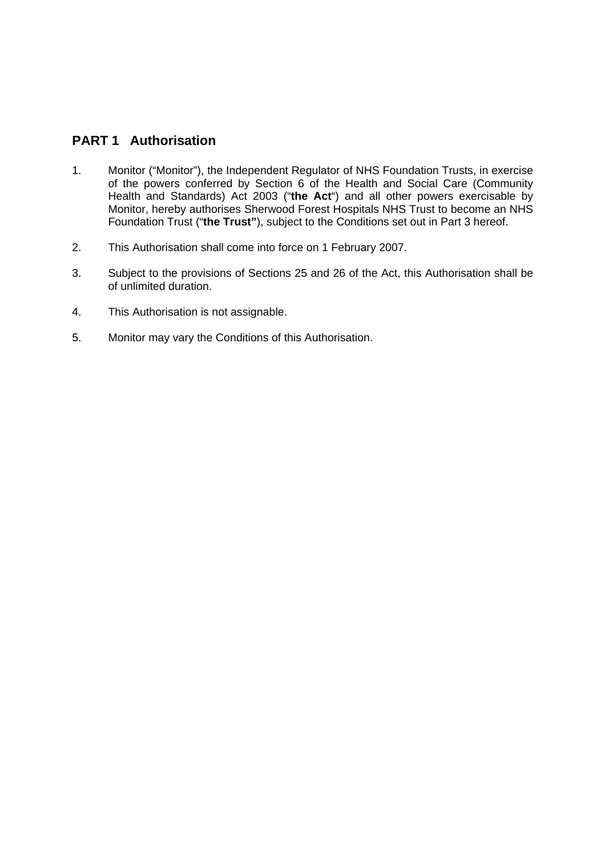## <span id="page-2-0"></span>**PART 1 Authorisation**

- 1. Monitor ("Monitor"), the Independent Regulator of NHS Foundation Trusts, in exercise of the powers conferred by Section 6 of the Health and Social Care (Community Health and Standards) Act 2003 ("**the Act**") and all other powers exercisable by Monitor, hereby authorises Sherwood Forest Hospitals NHS Trust to become an NHS Foundation Trust ("**the Trust"**), subject to the Conditions set out in Part 3 hereof.
- 2. This Authorisation shall come into force on 1 February 2007.
- 3. Subject to the provisions of Sections 25 and 26 of the Act, this Authorisation shall be of unlimited duration.
- 4. This Authorisation is not assignable.
- 5. Monitor may vary the Conditions of this Authorisation.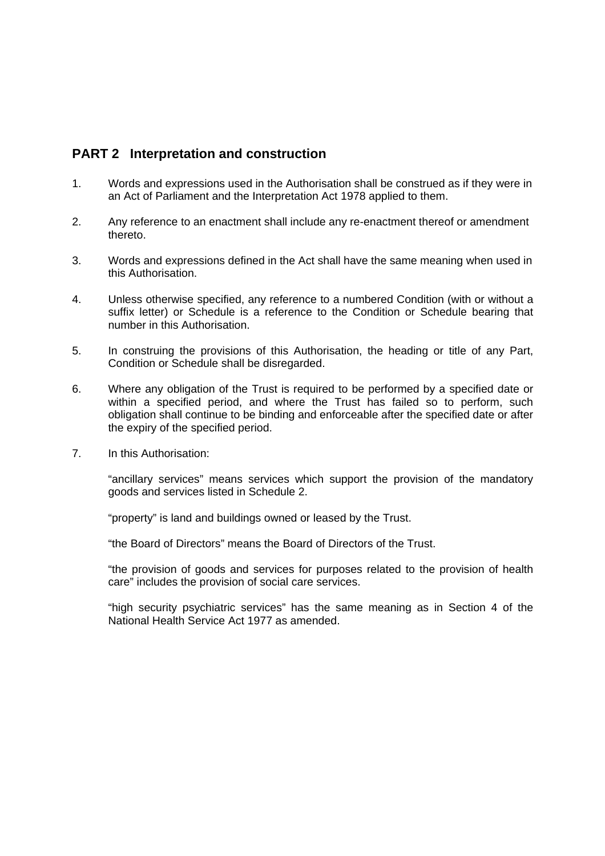## <span id="page-3-0"></span>**PART 2 Interpretation and construction**

- 1. Words and expressions used in the Authorisation shall be construed as if they were in an Act of Parliament and the Interpretation Act 1978 applied to them.
- 2. Any reference to an enactment shall include any re-enactment thereof or amendment thereto.
- 3. Words and expressions defined in the Act shall have the same meaning when used in this Authorisation.
- 4. Unless otherwise specified, any reference to a numbered Condition (with or without a suffix letter) or Schedule is a reference to the Condition or Schedule bearing that number in this Authorisation.
- 5. In construing the provisions of this Authorisation, the heading or title of any Part, Condition or Schedule shall be disregarded.
- 6. Where any obligation of the Trust is required to be performed by a specified date or within a specified period, and where the Trust has failed so to perform, such obligation shall continue to be binding and enforceable after the specified date or after the expiry of the specified period.
- 7. In this Authorisation:

 "ancillary services" means services which support the provision of the mandatory goods and services listed in Schedule 2.

"property" is land and buildings owned or leased by the Trust.

"the Board of Directors" means the Board of Directors of the Trust.

 "the provision of goods and services for purposes related to the provision of health care" includes the provision of social care services.

 "high security psychiatric services" has the same meaning as in Section 4 of the National Health Service Act 1977 as amended.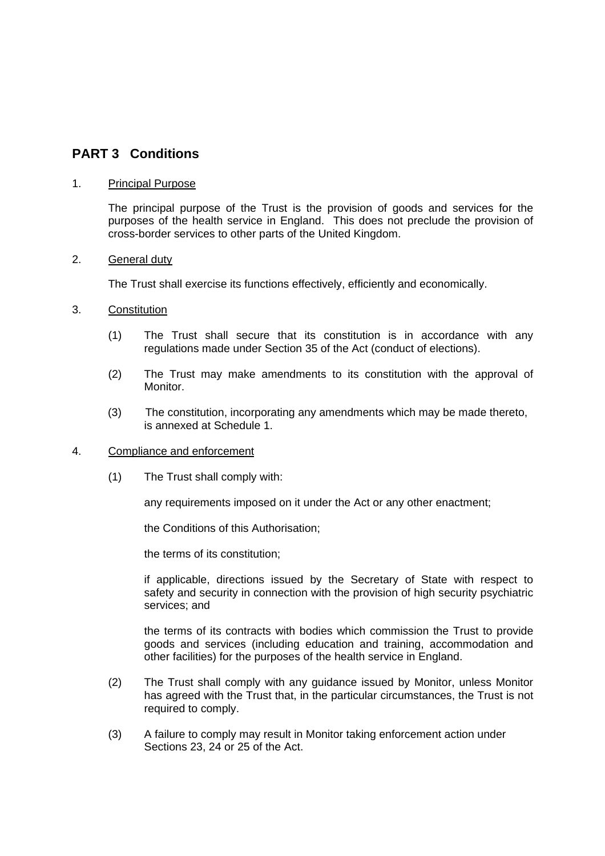## <span id="page-4-0"></span>**PART 3 Conditions**

#### 1. Principal Purpose

 The principal purpose of the Trust is the provision of goods and services for the purposes of the health service in England. This does not preclude the provision of cross-border services to other parts of the United Kingdom.

#### 2. General duty

The Trust shall exercise its functions effectively, efficiently and economically.

- 3. Constitution
	- (1) The Trust shall secure that its constitution is in accordance with any regulations made under Section 35 of the Act (conduct of elections).
	- (2) The Trust may make amendments to its constitution with the approval of Monitor.
	- (3) The constitution, incorporating any amendments which may be made thereto, is annexed at Schedule 1.

#### 4. Compliance and enforcement

(1) The Trust shall comply with:

any requirements imposed on it under the Act or any other enactment;

the Conditions of this Authorisation;

the terms of its constitution;

if applicable, directions issued by the Secretary of State with respect to safety and security in connection with the provision of high security psychiatric services; and

the terms of its contracts with bodies which commission the Trust to provide goods and services (including education and training, accommodation and other facilities) for the purposes of the health service in England.

- (2) The Trust shall comply with any guidance issued by Monitor, unless Monitor has agreed with the Trust that, in the particular circumstances, the Trust is not required to comply.
- (3) A failure to comply may result in Monitor taking enforcement action under Sections 23, 24 or 25 of the Act.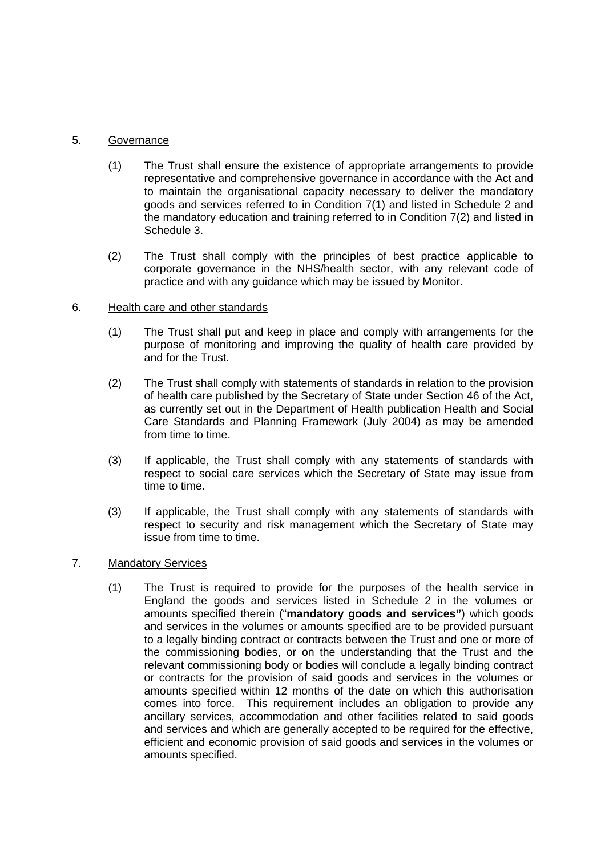### <span id="page-5-0"></span>5. Governance

- (1) The Trust shall ensure the existence of appropriate arrangements to provide representative and comprehensive governance in accordance with the Act and to maintain the organisational capacity necessary to deliver the mandatory goods and services referred to in Condition 7(1) and listed in Schedule 2 and the mandatory education and training referred to in Condition 7(2) and listed in Schedule 3.
- (2) The Trust shall comply with the principles of best practice applicable to corporate governance in the NHS/health sector, with any relevant code of practice and with any guidance which may be issued by Monitor.

### 6. Health care and other standards

- (1) The Trust shall put and keep in place and comply with arrangements for the purpose of monitoring and improving the quality of health care provided by and for the Trust.
- (2) The Trust shall comply with statements of standards in relation to the provision of health care published by the Secretary of State under Section 46 of the Act, as currently set out in the Department of Health publication Health and Social Care Standards and Planning Framework (July 2004) as may be amended from time to time.
- (3) If applicable, the Trust shall comply with any statements of standards with respect to social care services which the Secretary of State may issue from time to time.
- (3) If applicable, the Trust shall comply with any statements of standards with respect to security and risk management which the Secretary of State may issue from time to time.

### 7. Mandatory Services

(1) The Trust is required to provide for the purposes of the health service in England the goods and services listed in Schedule 2 in the volumes or amounts specified therein ("**mandatory goods and services"**) which goods and services in the volumes or amounts specified are to be provided pursuant to a legally binding contract or contracts between the Trust and one or more of the commissioning bodies, or on the understanding that the Trust and the relevant commissioning body or bodies will conclude a legally binding contract or contracts for the provision of said goods and services in the volumes or amounts specified within 12 months of the date on which this authorisation comes into force. This requirement includes an obligation to provide any ancillary services, accommodation and other facilities related to said goods and services and which are generally accepted to be required for the effective, efficient and economic provision of said goods and services in the volumes or amounts specified.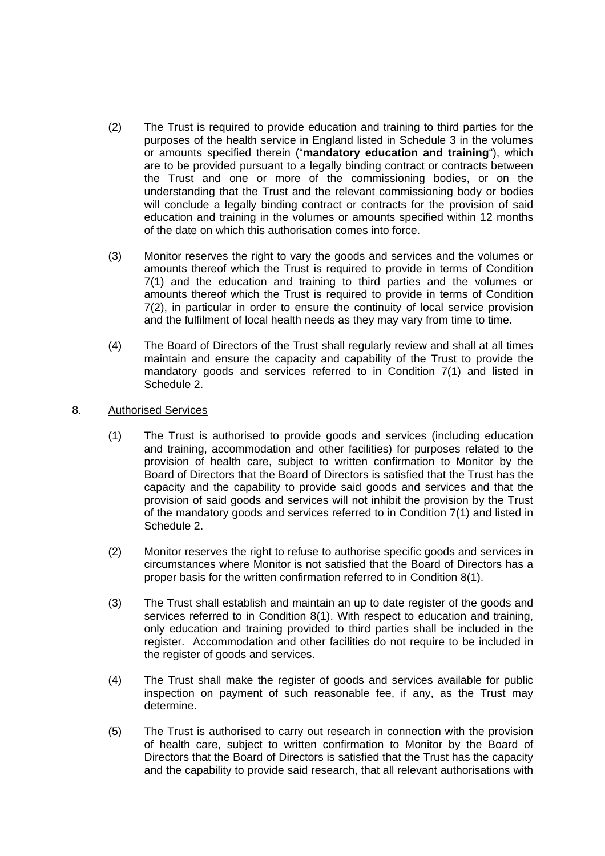- <span id="page-6-0"></span>(2) The Trust is required to provide education and training to third parties for the purposes of the health service in England listed in Schedule 3 in the volumes or amounts specified therein ("**mandatory education and training**"), which are to be provided pursuant to a legally binding contract or contracts between the Trust and one or more of the commissioning bodies, or on the understanding that the Trust and the relevant commissioning body or bodies will conclude a legally binding contract or contracts for the provision of said education and training in the volumes or amounts specified within 12 months of the date on which this authorisation comes into force.
- (3) Monitor reserves the right to vary the goods and services and the volumes or amounts thereof which the Trust is required to provide in terms of Condition 7(1) and the education and training to third parties and the volumes or amounts thereof which the Trust is required to provide in terms of Condition 7(2), in particular in order to ensure the continuity of local service provision and the fulfilment of local health needs as they may vary from time to time.
- (4) The Board of Directors of the Trust shall regularly review and shall at all times maintain and ensure the capacity and capability of the Trust to provide the mandatory goods and services referred to in Condition 7(1) and listed in Schedule 2.
- 8. Authorised Services
	- (1) The Trust is authorised to provide goods and services (including education and training, accommodation and other facilities) for purposes related to the provision of health care, subject to written confirmation to Monitor by the Board of Directors that the Board of Directors is satisfied that the Trust has the capacity and the capability to provide said goods and services and that the provision of said goods and services will not inhibit the provision by the Trust of the mandatory goods and services referred to in Condition 7(1) and listed in Schedule 2.
	- (2) Monitor reserves the right to refuse to authorise specific goods and services in circumstances where Monitor is not satisfied that the Board of Directors has a proper basis for the written confirmation referred to in Condition 8(1).
	- (3) The Trust shall establish and maintain an up to date register of the goods and services referred to in Condition 8(1). With respect to education and training, only education and training provided to third parties shall be included in the register. Accommodation and other facilities do not require to be included in the register of goods and services.
	- (4) The Trust shall make the register of goods and services available for public inspection on payment of such reasonable fee, if any, as the Trust may determine.
	- (5) The Trust is authorised to carry out research in connection with the provision of health care, subject to written confirmation to Monitor by the Board of Directors that the Board of Directors is satisfied that the Trust has the capacity and the capability to provide said research, that all relevant authorisations with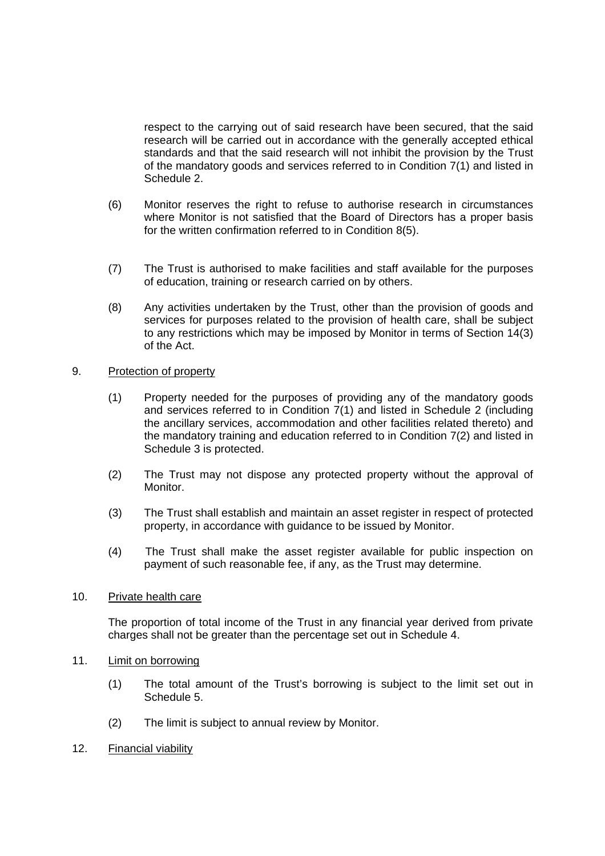<span id="page-7-0"></span>respect to the carrying out of said research have been secured, that the said research will be carried out in accordance with the generally accepted ethical standards and that the said research will not inhibit the provision by the Trust of the mandatory goods and services referred to in Condition 7(1) and listed in Schedule 2.

- (6) Monitor reserves the right to refuse to authorise research in circumstances where Monitor is not satisfied that the Board of Directors has a proper basis for the written confirmation referred to in Condition 8(5).
- (7) The Trust is authorised to make facilities and staff available for the purposes of education, training or research carried on by others.
- (8) Any activities undertaken by the Trust, other than the provision of goods and services for purposes related to the provision of health care, shall be subject to any restrictions which may be imposed by Monitor in terms of Section 14(3) of the Act.

#### 9. Protection of property

- (1) Property needed for the purposes of providing any of the mandatory goods and services referred to in Condition 7(1) and listed in Schedule 2 (including the ancillary services, accommodation and other facilities related thereto) and the mandatory training and education referred to in Condition 7(2) and listed in Schedule 3 is protected.
- (2) The Trust may not dispose any protected property without the approval of Monitor.
- (3) The Trust shall establish and maintain an asset register in respect of protected property, in accordance with guidance to be issued by Monitor.
- (4) The Trust shall make the asset register available for public inspection on payment of such reasonable fee, if any, as the Trust may determine.

#### 10. Private health care

The proportion of total income of the Trust in any financial year derived from private charges shall not be greater than the percentage set out in Schedule 4.

- 11. Limit on borrowing
	- (1) The total amount of the Trust's borrowing is subject to the limit set out in Schedule 5.
	- (2) The limit is subject to annual review by Monitor.
- 12. Financial viability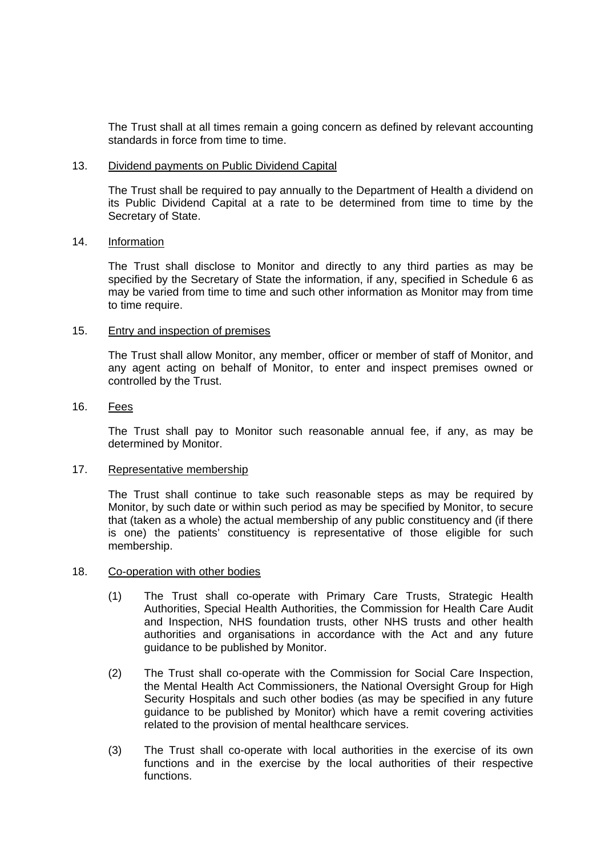<span id="page-8-0"></span> The Trust shall at all times remain a going concern as defined by relevant accounting standards in force from time to time.

#### 13. Dividend payments on Public Dividend Capital

The Trust shall be required to pay annually to the Department of Health a dividend on its Public Dividend Capital at a rate to be determined from time to time by the Secretary of State.

#### 14. Information

 The Trust shall disclose to Monitor and directly to any third parties as may be specified by the Secretary of State the information, if any, specified in Schedule 6 as may be varied from time to time and such other information as Monitor may from time to time require.

#### 15. Entry and inspection of premises

 The Trust shall allow Monitor, any member, officer or member of staff of Monitor, and any agent acting on behalf of Monitor, to enter and inspect premises owned or controlled by the Trust.

#### 16. Fees

 The Trust shall pay to Monitor such reasonable annual fee, if any, as may be determined by Monitor.

#### 17. Representative membership

 The Trust shall continue to take such reasonable steps as may be required by Monitor, by such date or within such period as may be specified by Monitor, to secure that (taken as a whole) the actual membership of any public constituency and (if there is one) the patients' constituency is representative of those eligible for such membership.

#### 18. Co-operation with other bodies

- (1) The Trust shall co-operate with Primary Care Trusts, Strategic Health Authorities, Special Health Authorities, the Commission for Health Care Audit and Inspection, NHS foundation trusts, other NHS trusts and other health authorities and organisations in accordance with the Act and any future guidance to be published by Monitor.
- (2) The Trust shall co-operate with the Commission for Social Care Inspection, the Mental Health Act Commissioners, the National Oversight Group for High Security Hospitals and such other bodies (as may be specified in any future guidance to be published by Monitor) which have a remit covering activities related to the provision of mental healthcare services.
- (3) The Trust shall co-operate with local authorities in the exercise of its own functions and in the exercise by the local authorities of their respective functions.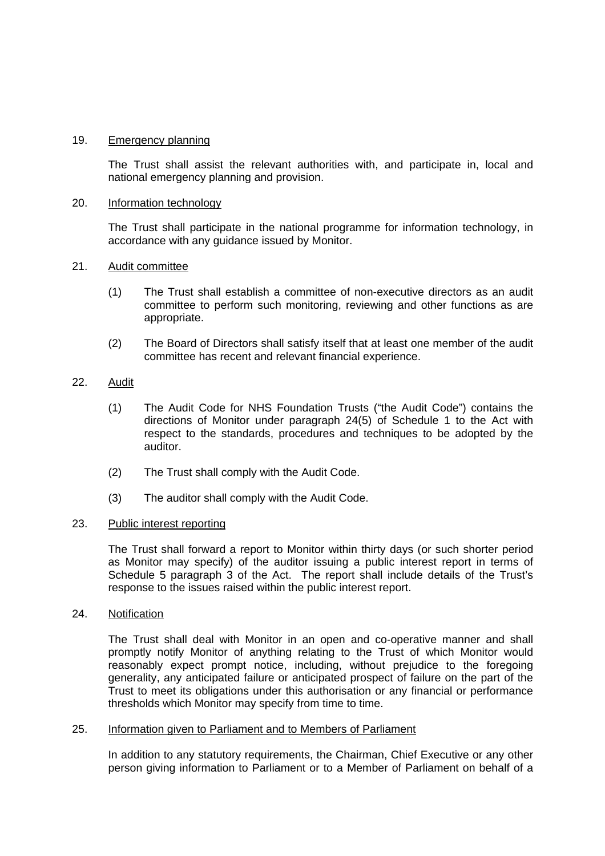#### <span id="page-9-0"></span>19. Emergency planning

 The Trust shall assist the relevant authorities with, and participate in, local and national emergency planning and provision.

#### 20. Information technology

 The Trust shall participate in the national programme for information technology, in accordance with any guidance issued by Monitor.

#### 21. Audit committee

- (1) The Trust shall establish a committee of non-executive directors as an audit committee to perform such monitoring, reviewing and other functions as are appropriate.
- (2) The Board of Directors shall satisfy itself that at least one member of the audit committee has recent and relevant financial experience.

#### 22. Audit

- (1) The Audit Code for NHS Foundation Trusts ("the Audit Code") contains the directions of Monitor under paragraph 24(5) of Schedule 1 to the Act with respect to the standards, procedures and techniques to be adopted by the auditor.
- (2) The Trust shall comply with the Audit Code.
- (3) The auditor shall comply with the Audit Code.

#### 23. Public interest reporting

 The Trust shall forward a report to Monitor within thirty days (or such shorter period as Monitor may specify) of the auditor issuing a public interest report in terms of Schedule 5 paragraph 3 of the Act. The report shall include details of the Trust's response to the issues raised within the public interest report.

#### 24. Notification

The Trust shall deal with Monitor in an open and co-operative manner and shall promptly notify Monitor of anything relating to the Trust of which Monitor would reasonably expect prompt notice, including, without prejudice to the foregoing generality, any anticipated failure or anticipated prospect of failure on the part of the Trust to meet its obligations under this authorisation or any financial or performance thresholds which Monitor may specify from time to time.

#### 25. Information given to Parliament and to Members of Parliament

 In addition to any statutory requirements, the Chairman, Chief Executive or any other person giving information to Parliament or to a Member of Parliament on behalf of a